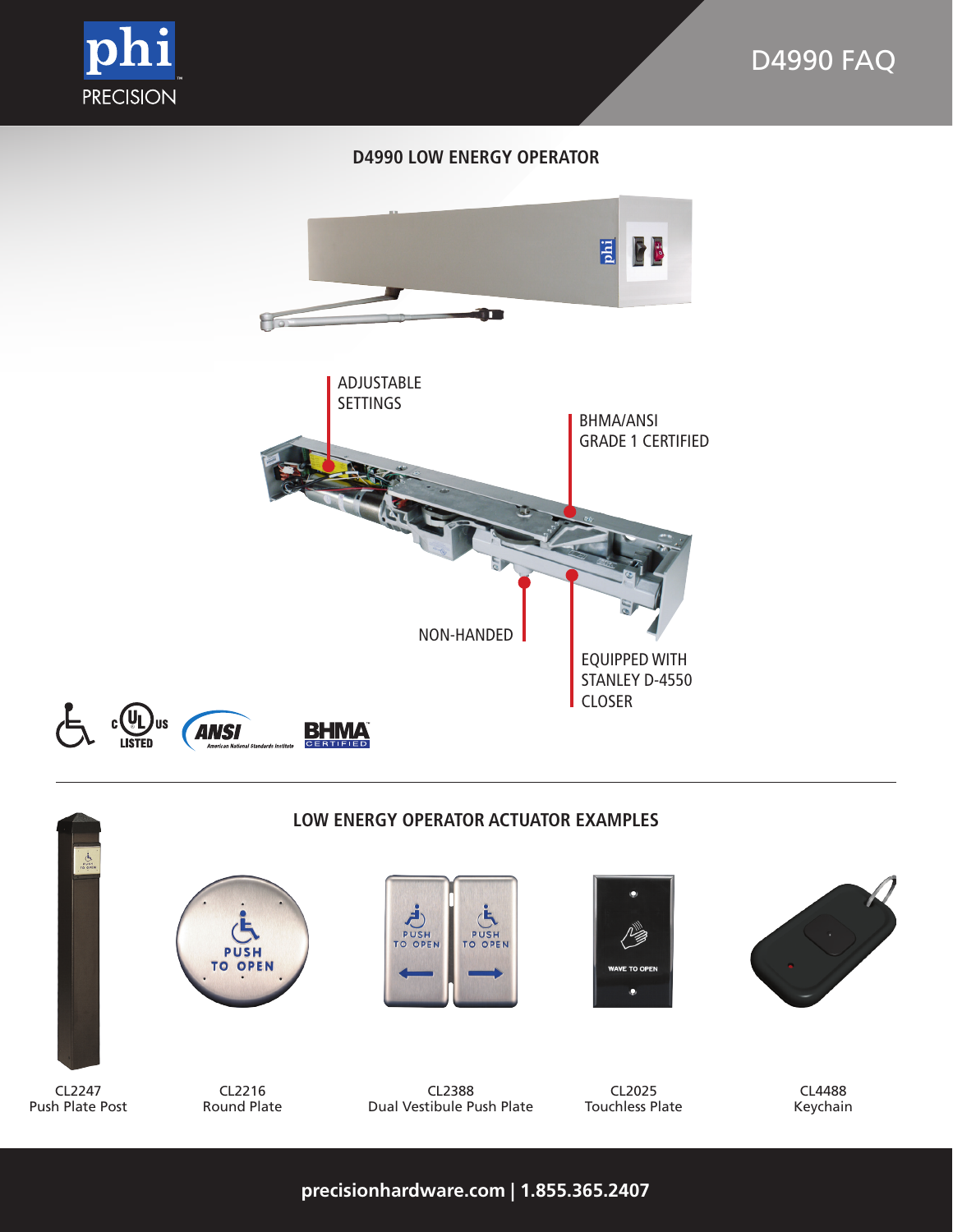

# **D4990 LOW ENERGY OPERATOR**





**precisionhardware.com | 1.855.365.2407**